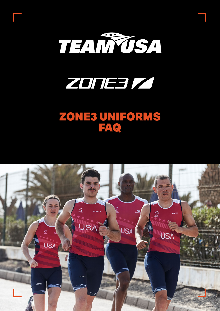



# ZONE3 UNIFORMS FAQ

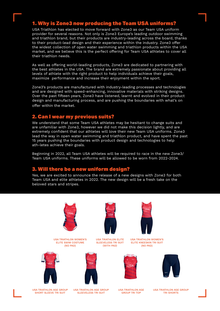#### 1. Why is Zone3 now producing the Team USA uniforms?

USA Triathlon has elected to move forward with Zone3 as our Team USA uniform provider for several reasons. Not only is Zone3 Europe's leading outdoor swimming and triathlon brand, but their products are industry-leading across the board, thanks to their product-lead design and their experience within the industry. Zone3 offer the widest collection of open water swimming and triathlon products within the USA market, and we believe this is the perfect offering for Team USA athletes to cover all their triathlon needs.

As well as offering world-leading products, Zone3 are dedicated to partnering with the best athletes in the USA. The brand are extremely passionate about providing all levels of athlete with the right product to help individuals achieve their goals, maximize performance and increase their enjoyment within the sport.

Zone3's products are manufactured with industry-leading processes and technologies and are designed with speed-enhancing, innovative materials with striking designs. Over the past fifteen years, Zone3 have listened, learnt and evolved in their product design and manufacturing process, and are pushing the boundaries with what's on offer within the market.

#### 2. Can I wear my previous suits?

We understand that some Team USA athletes may be hesitant to change suits and are unfamiliar with Zone3, however we did not make this decision lightly, and are extremely confident that our athletes will love their new Team USA uniforms. Zone3 lead the way in open water swimming and triathlon product, and have spent the past 15 years pushing the boundaries with product design and technologies to help ath-letes achieve their goals.

Beginning in 2022, all Team USA athletes will be required to race in the new Zone3/ Team USA uniforms. These uniforms will be allowed to be worn from 2022-2024.

#### 3. Will there be a new uniform design?

Yes, we are excited to announce the release of a new designs with Zone3 for both Team USA and elite athletes in 2022. The new design will be a fresh take on the beloved stars and stripes.

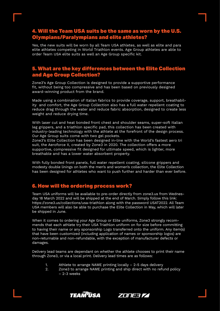### 4. Will the Team USA suits be the same as worn by the U.S. Olympians/Paralympians and elite athletes?

Yes, the new suits will be worn by all Team USA athletes, as well as elite and para elite athletes competing in World Triathlon events. Age Group athletes are able to order Team USA elite suits as well an Age Group specific kit.

### 5. What are the key differences between the Elite Collection and Age Group Collection?

Zone3's Age Group Collection is designed to provide a supportive performance fit, without being too compressive and has been based on previously designed award-winning product from the brand.

Made using a combination of Italian fabrics to provide coverage, support, breathability and comfort, the Age Group Collection also has a full water repellent coating to reduce drag through the water and reduce fabric absorption, designed to create less weight and reduce drying time.

With laser cut and heat bonded front chest and shoulder seams, super-soft Italian leg grippers, and a triathlon specific pad, this collection has been created with industry-leading technology with the athlete at the forefront of the design process. Our Age Group suits come with two gel pockets.

Zone3's Elite Collection has been designed in-line with the World's fastest aero tri suit, the Aeroforce X, created by Zone3 in 2020. The collection offers a more supportive, compressive fit designed for ultimate speed, which is lighter, more breathable and has a lower water absorbent property.

With fully bonded front panels, full water repellent coating, silicone grippers and modesty double linings on both the men's and women's collection, the Elite Collection has been designed for athletes who want to push further and harder than ever before.

#### 6. How will the ordering process work?

Team USA uniforms will be available to pre-order directly from zone3.us from Wednesday 18 March 2022 and will be shipped at the end of March. Simply follow this link: https://zone3.us/collections/usa-triathlon along with the password USAT2022. All Team USA members will also be able to purchase the Elite Collection in May, which will later be shipped in June.

When it comes to ordering your Age Group or Elite uniforms, Zone3 strongly recommends that each athlete try their USA Triathlon uniform on for size before committing to having their name or any sponsorship Logo transferred onto the uniform. Any item(s) that have been customized (including application of names or sponsorship logos) are non-returnable and non-refundable, with the exception of manufacturer defects or damages.

Delivery lead teams are dependant on whether the athlete chooses to print their name through Zone3, or via a local print. Delivery lead times are as follows:

- 1. Athlete to arrange NAME printing locally 2-5 days delivery
- 2. Zone3 to arrange NAME printing and ship direct with no refund policy – 2-3 weeks



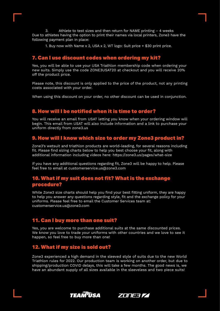3. Athlete to test sizes and then return for NAME printing – 4 weeks Due to athletes having the option to print their names via local printers, Zone3 have the following payment plan in place:

1. Buy now with Name x 2, USA x 2, WT logo: Suit price + \$30 print price.

#### 7. Can I use discount codes when ordering my kit?

Yes, you will be able to use your USA Triathlon membership code when ordering your new suits. Simply use the code ZONE3USAT20 at checkout and you will receive 20% off the product price.

Please note, this discount is only applied to the price of the product, not any printing costs associated with your order.

When using this discount on your order, no other discount can be used in conjunction.

#### 8. How will I be notified when it is time to order?

You will receive an email from USAT letting you know when your ordering window will begin. This email from USAT will also include information and a link to purchase your uniform directly from zone3.us

#### 9. How will I know which size to order my Zone3 product in?

Zone3's wetsuit and triathlon products are world-leading, for several reasons including fit. Please find sizing charts below to help you best choose your fit, along with additional information including videos here: https://zone3.us/pages/what-size

If you have any additional questions regarding fit, Zone3 will be happy to help. Please feel free to email at customerservice.us@zone3.com

#### 10. What if my suit does not fit? What is the exchange procedure?

While Zone3 size charts should help you find your best fitting uniform, they are happy to help you answer any questions regarding style, fit and the exchange policy for your uniforms. Please feel free to email the Customer Services team at: customerservice.us@zone3.com

#### 11. Can I buy more than one suit?

Yes, you are welcome to purchase additional suits at the same discounted prices. We know you love to trade your uniforms with other countries and we love to see it happen, so feel free to buy more than one!

#### 12. What if my size is sold out?

Zone3 experienced a high demand in the sleeved style of suits due to the new World Triathlon rules for 2022. Our production team is working on another order, but due to shipping/production COVID delays, this will take a few months. The good news is, we have an abundant supply of all sizes available in the sleeveless and two piece suits!



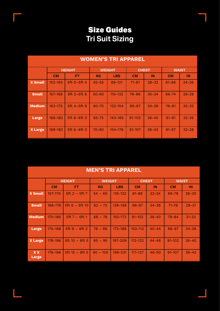## Size Guides **Tri Suit Sizing**

| <b>WOMEN'S TRI APPAREL</b> |               |                  |               |             |              |           |              |           |  |
|----------------------------|---------------|------------------|---------------|-------------|--------------|-----------|--------------|-----------|--|
|                            | <b>HEIGHT</b> |                  | <b>WEIGHT</b> |             | <b>CHEST</b> |           | <b>WAIST</b> |           |  |
|                            | <b>CM</b>     | FT.              | <b>KG</b>     | <b>LBS</b>  | <b>CM</b>    | IN        | <b>CM</b>    | IN        |  |
| <b>X</b> Small             | 152-163       | $5ft$ $0-5ft$ 4  | $45 - 55$     | $99 - 121$  | $71 - 81$    | $28 - 32$ | $61 - 66$    | $24 - 26$ |  |
| <b>Small</b>               | 157-168       | $5ft$ 2-5 $ft$ 6 | $50 - 60$     | $110 - 132$ | $76 - 86$    | $30 - 34$ | 66-74        | $26 - 29$ |  |
| <b>Medium</b>              | 163-175       | 5ft 4-5ft 9      | 60-70         | 132-154     | 86-97        | $34 - 38$ | $76 - 81$    | $30 - 32$ |  |
| <b>Large</b>               | 168-183       | $5ft 6-6ft 0$    | 65-75         | 143-165     | $91 - 102$   | $36 - 40$ | $81 - 91$    | $32 - 36$ |  |
| <b>X Large</b>             | 168-183       | 5ft 6-6ft 0      | $70 - 80$     | 154-176     | $91 - 107$   | $36 - 42$ | $81 - 97$    | $32 - 38$ |  |

| <b>MEN'S TRI APPAREL</b> |               |                    |               |             |              |           |              |           |  |
|--------------------------|---------------|--------------------|---------------|-------------|--------------|-----------|--------------|-----------|--|
|                          | <b>HEIGHT</b> |                    | <b>WEIGHT</b> |             | <b>CHEST</b> |           | <b>WAIST</b> |           |  |
|                          | <b>CM</b>     | FT.                | <b>KG</b>     | <b>LBS</b>  | <b>CM</b>    | IN        | <b>CM</b>    | IN        |  |
| <b>X Small</b>           | 157-170       | 5ft $2 - 5$ ft $7$ | $54 - 60$     | $119 - 132$ | $81 - 86$    | $32 - 34$ | 66-76        | $26 - 30$ |  |
| <b>Small</b>             | $168 - 178$   | $5ft 6 - 5ft 10$   | $62 - 72$     | $136 - 158$ | $86 - 97$    | $34 - 38$ | $71 - 76$    | $28 - 31$ |  |
| <b>Medium</b>            | 170-185       | $5ft 7 - 6ft 1$    | $68 - 78$     | $150 - 172$ | $91 - 102$   | $36 - 40$ | $79 - 84$    | $31 - 33$ |  |
| <b>Large</b>             | 175-188       | $5ft 9 - 6ft 2$    | $78 - 86$     | 172-189     | $102 - 112$  | $40 - 44$ | $86 - 97$    | $34 - 38$ |  |
| <b>X Large</b>           | 178-196       | $5ft 10 - 6ft 5$   | $85 - 95$     | 187-209     | $112 - 122$  | $44 - 48$ | $91 - 102$   | $36 - 40$ |  |

178-196 | 5ft 10 – 6ft 5 | 90 – 105 | 198-231 | 117-127 | 46-50 | 91-107 | 36-42

**X X Large**